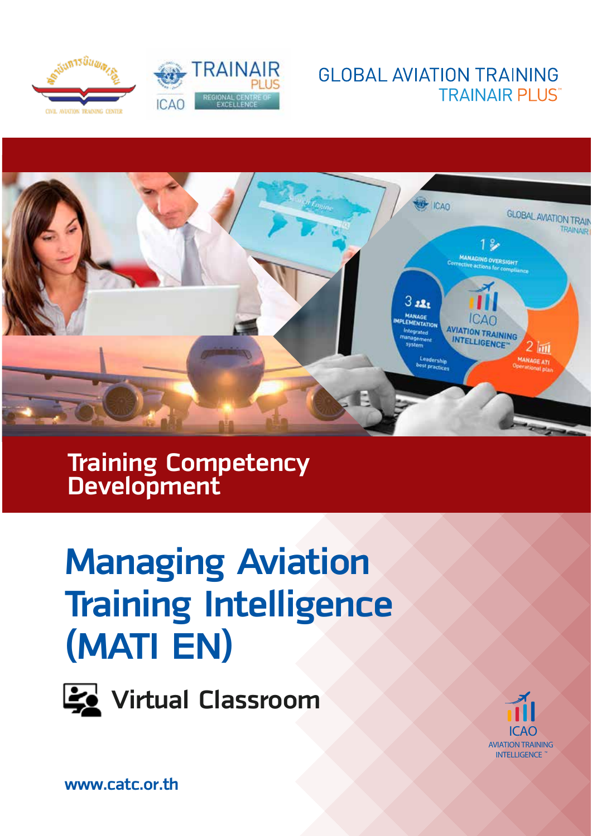







**Training Competency Development**

# **Managing Aviation Training Intelligence (MATI EN)**



**Virtual Classroom** 



ICAO **AVIATION TRAINING INTELLIGENCE**

**www.catc.or.th**